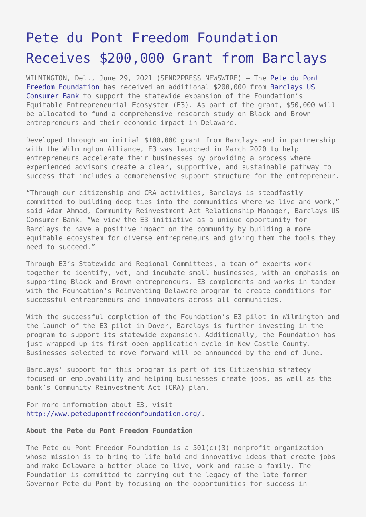## [Pete du Pont Freedom Foundation](https://www.send2press.com/wire/pete-du-pont-freedom-foundation-receives-200000-grant-from-barclays/) [Receives \\$200,000 Grant from Barclays](https://www.send2press.com/wire/pete-du-pont-freedom-foundation-receives-200000-grant-from-barclays/)

WILMINGTON, Del., June 29, 2021 (SEND2PRESS NEWSWIRE) — The [Pete du Pont](https://www.petedupontfreedomfoundation.org/) [Freedom Foundation](https://www.petedupontfreedomfoundation.org/) has received an additional \$200,000 from [Barclays US](http://www.barclaysus.com) [Consumer Bank](http://www.barclaysus.com) to support the statewide expansion of the Foundation's Equitable Entrepreneurial Ecosystem (E3). As part of the grant, \$50,000 will be allocated to fund a comprehensive research study on Black and Brown entrepreneurs and their economic impact in Delaware.

Developed through an initial \$100,000 grant from Barclays and in partnership with the Wilmington Alliance, E3 was launched in March 2020 to help entrepreneurs accelerate their businesses by providing a process where experienced advisors create a clear, supportive, and sustainable pathway to success that includes a comprehensive support structure for the entrepreneur.

"Through our citizenship and CRA activities, Barclays is steadfastly committed to building deep ties into the communities where we live and work," said Adam Ahmad, Community Reinvestment Act Relationship Manager, Barclays US Consumer Bank. "We view the E3 initiative as a unique opportunity for Barclays to have a positive impact on the community by building a more equitable ecosystem for diverse entrepreneurs and giving them the tools they need to succeed."

Through E3's Statewide and Regional Committees, a team of experts work together to identify, vet, and incubate small businesses, with an emphasis on supporting Black and Brown entrepreneurs. E3 complements and works in tandem with the Foundation's Reinventing Delaware program to create conditions for successful entrepreneurs and innovators across all communities.

With the successful completion of the Foundation's E3 pilot in Wilmington and the launch of the E3 pilot in Dover, Barclays is further investing in the program to support its statewide expansion. Additionally, the Foundation has just wrapped up its first open application cycle in New Castle County. Businesses selected to move forward will be announced by the end of June.

Barclays' support for this program is part of its Citizenship strategy focused on employability and helping businesses create jobs, as well as the bank's Community Reinvestment Act (CRA) plan.

For more information about E3, visit <http://www.petedupontfreedomfoundation.org/>.

## **About the Pete du Pont Freedom Foundation**

The Pete du Pont Freedom Foundation is a 501(c)(3) nonprofit organization whose mission is to bring to life bold and innovative ideas that create jobs and make Delaware a better place to live, work and raise a family. The Foundation is committed to carrying out the legacy of the late former Governor Pete du Pont by focusing on the opportunities for success in